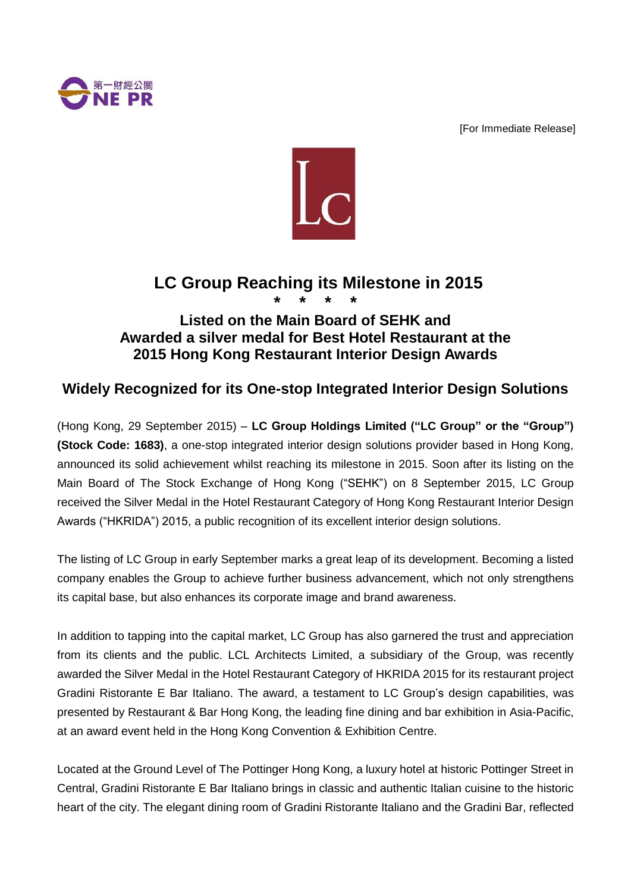

[For Immediate Release]



# **LC Group Reaching its Milestone in 2015 \* \* \* \***

## **Listed on the Main Board of SEHK and Awarded a silver medal for Best Hotel Restaurant at the 2015 Hong Kong Restaurant Interior Design Awards**

## **Widely Recognized for its One-stop Integrated Interior Design Solutions**

(Hong Kong, 29 September 2015) – **LC Group Holdings Limited ("LC Group" or the "Group") (Stock Code: 1683)**, a one-stop integrated interior design solutions provider based in Hong Kong, announced its solid achievement whilst reaching its milestone in 2015. Soon after its listing on the Main Board of The Stock Exchange of Hong Kong ("SEHK") on 8 September 2015, LC Group received the Silver Medal in the Hotel Restaurant Category of Hong Kong Restaurant Interior Design Awards ("HKRIDA") 2015, a public recognition of its excellent interior design solutions.

The listing of LC Group in early September marks a great leap of its development. Becoming a listed company enables the Group to achieve further business advancement, which not only strengthens its capital base, but also enhances its corporate image and brand awareness.

In addition to tapping into the capital market, LC Group has also garnered the trust and appreciation from its clients and the public. LCL Architects Limited, a subsidiary of the Group, was recently awarded the Silver Medal in the Hotel Restaurant Category of HKRIDA 2015 for its restaurant project Gradini Ristorante E Bar Italiano. The award, a testament to LC Group's design capabilities, was presented by Restaurant & Bar Hong Kong, the leading fine dining and bar exhibition in Asia-Pacific, at an award event held in the Hong Kong Convention & Exhibition Centre.

Located at the Ground Level of The Pottinger Hong Kong, a luxury hotel at historic Pottinger Street in Central, Gradini Ristorante E Bar Italiano brings in classic and authentic Italian cuisine to the historic heart of the city. The elegant dining room of Gradini Ristorante Italiano and the Gradini Bar, reflected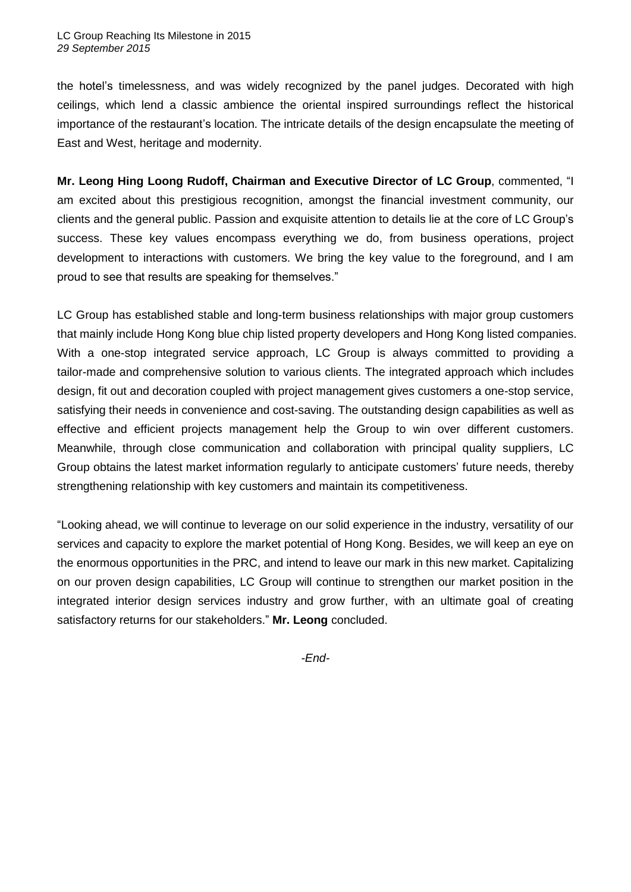the hotel's timelessness, and was widely recognized by the panel judges. Decorated with high ceilings, which lend a classic ambience the oriental inspired surroundings reflect the historical importance of the restaurant's location. The intricate details of the design encapsulate the meeting of East and West, heritage and modernity.

**Mr. Leong Hing Loong Rudoff, Chairman and Executive Director of LC Group**, commented, "I am excited about this prestigious recognition, amongst the financial investment community, our clients and the general public. Passion and exquisite attention to details lie at the core of LC Group's success. These key values encompass everything we do, from business operations, project development to interactions with customers. We bring the key value to the foreground, and I am proud to see that results are speaking for themselves."

LC Group has established stable and long-term business relationships with major group customers that mainly include Hong Kong blue chip listed property developers and Hong Kong listed companies. With a one-stop integrated service approach, LC Group is always committed to providing a tailor-made and comprehensive solution to various clients. The integrated approach which includes design, fit out and decoration coupled with project management gives customers a one-stop service, satisfying their needs in convenience and cost-saving. The outstanding design capabilities as well as effective and efficient projects management help the Group to win over different customers. Meanwhile, through close communication and collaboration with principal quality suppliers, LC Group obtains the latest market information regularly to anticipate customers' future needs, thereby strengthening relationship with key customers and maintain its competitiveness.

"Looking ahead, we will continue to leverage on our solid experience in the industry, versatility of our services and capacity to explore the market potential of Hong Kong. Besides, we will keep an eye on the enormous opportunities in the PRC, and intend to leave our mark in this new market. Capitalizing on our proven design capabilities, LC Group will continue to strengthen our market position in the integrated interior design services industry and grow further, with an ultimate goal of creating satisfactory returns for our stakeholders." **Mr. Leong** concluded.

*-End-*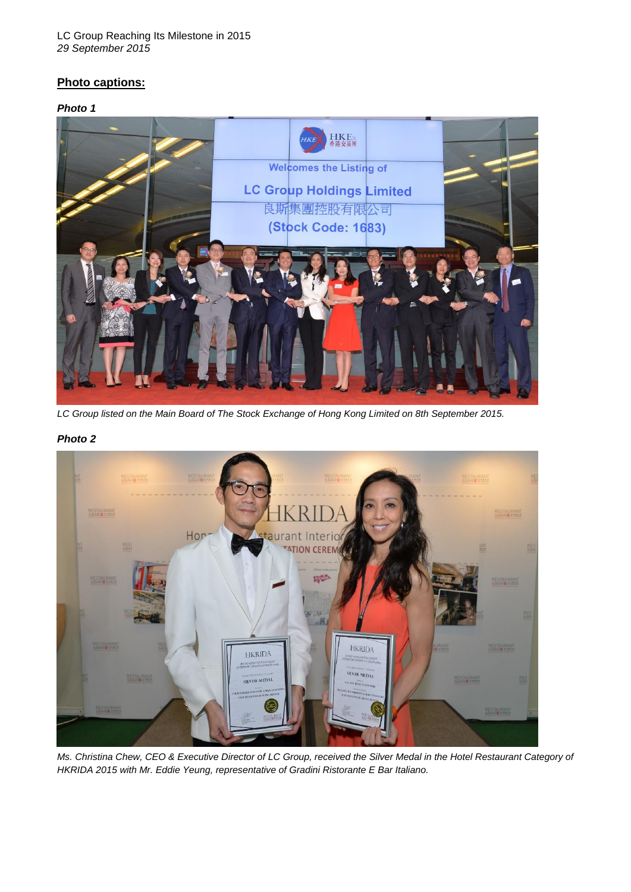#### LC Group Reaching Its Milestone in 2015 *29 September 2015*

## **Photo captions:**

#### *Photo 1*



*LC Group listed on the Main Board of The Stock Exchange of Hong Kong Limited on 8th September 2015.*

#### *Photo 2*



*Ms. Christina Chew, CEO & Executive Director of LC Group, received the Silver Medal in the Hotel Restaurant Category of HKRIDA 2015 with Mr. Eddie Yeung, representative of Gradini Ristorante E Bar Italiano.*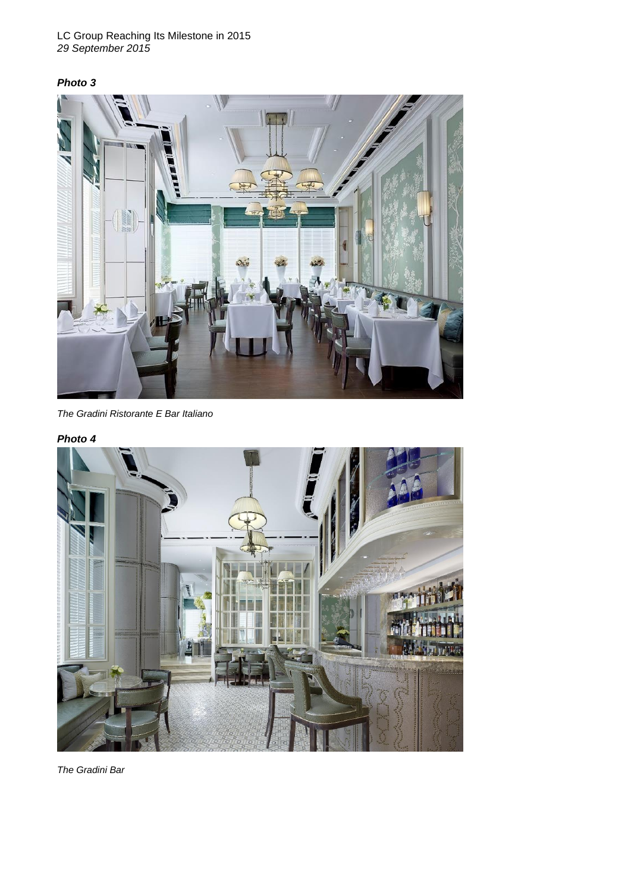#### LC Group Reaching Its Milestone in 2015 *29 September 2015*

### *Photo 3*



*The Gradini Ristorante E Bar Italiano*

### *Photo 4*



*The Gradini Bar*